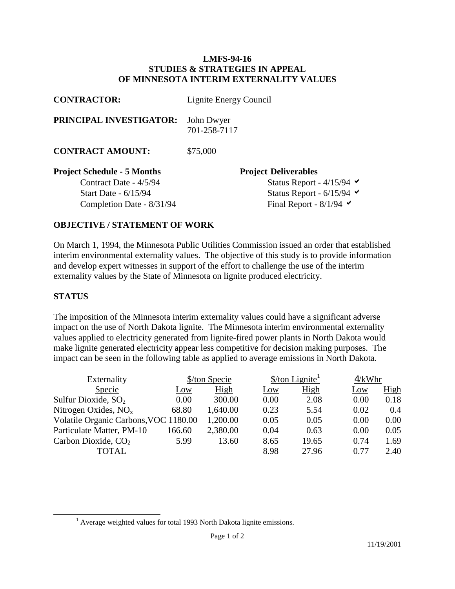## **LMFS-94-16 STUDIES & STRATEGIES IN APPEAL OF MINNESOTA INTERIM EXTERNALITY VALUES**

| <b>CONTRACTOR:</b>                 | Lignite Energy Council                          |  |  |  |
|------------------------------------|-------------------------------------------------|--|--|--|
| PRINCIPAL INVESTIGATOR:            | John Dwyer<br>701-258-7117                      |  |  |  |
| <b>CONTRACT AMOUNT:</b>            | \$75,000                                        |  |  |  |
| <b>Project Schedule - 5 Months</b> | <b>Project Deliverables</b>                     |  |  |  |
| Contract Date - 4/5/94             | Status Report - $4/15/94$ $\blacktriangleright$ |  |  |  |
| <b>Start Date - 6/15/94</b>        | Status Report - $6/15/94$ $\blacktriangleright$ |  |  |  |
| Completion Date - 8/31/94          | Final Report - $8/1/94$ $\blacktriangleright$   |  |  |  |

## **OBJECTIVE / STATEMENT OF WORK**

On March 1, 1994, the Minnesota Public Utilities Commission issued an order that established interim environmental externality values. The objective of this study is to provide information and develop expert witnesses in support of the effort to challenge the use of the interim externality values by the State of Minnesota on lignite produced electricity.

## **STATUS**

 $\overline{a}$ 

The imposition of the Minnesota interim externality values could have a significant adverse impact on the use of North Dakota lignite. The Minnesota interim environmental externality values applied to electricity generated from lignite-fired power plants in North Dakota would make lignite generated electricity appear less competitive for decision making purposes. The impact can be seen in the following table as applied to average emissions in North Dakota.

| Externality                           | \$/ton Specie |          |            | $\frac{\text{Ston} \text{Lignite}^1}{\text{Ston}}$ |      | 4/kWhr      |  |
|---------------------------------------|---------------|----------|------------|----------------------------------------------------|------|-------------|--|
| <b>Specie</b>                         | <u>Low</u>    | High     | <u>Low</u> | High                                               | Low  | <u>High</u> |  |
| Sulfur Dioxide, $SO2$                 | 0.00          | 300.00   | 0.00       | 2.08                                               | 0.00 | 0.18        |  |
| Nitrogen Oxides, $NOx$                | 68.80         | 1,640.00 | 0.23       | 5.54                                               | 0.02 | 0.4         |  |
| Volatile Organic Carbons, VOC 1180.00 |               | 1,200.00 | 0.05       | 0.05                                               | 0.00 | 0.00        |  |
| Particulate Matter, PM-10             | 166.60        | 2,380.00 | 0.04       | 0.63                                               | 0.00 | 0.05        |  |
| Carbon Dioxide, $CO2$                 | 5.99          | 13.60    | 8.65       | 19.65                                              | 0.74 | 1.69        |  |
| <b>TOTAL</b>                          |               |          | 8.98       | 27.96                                              | 0.77 | 2.40        |  |

<sup>&</sup>lt;sup>1</sup> Average weighted values for total 1993 North Dakota lignite emissions.